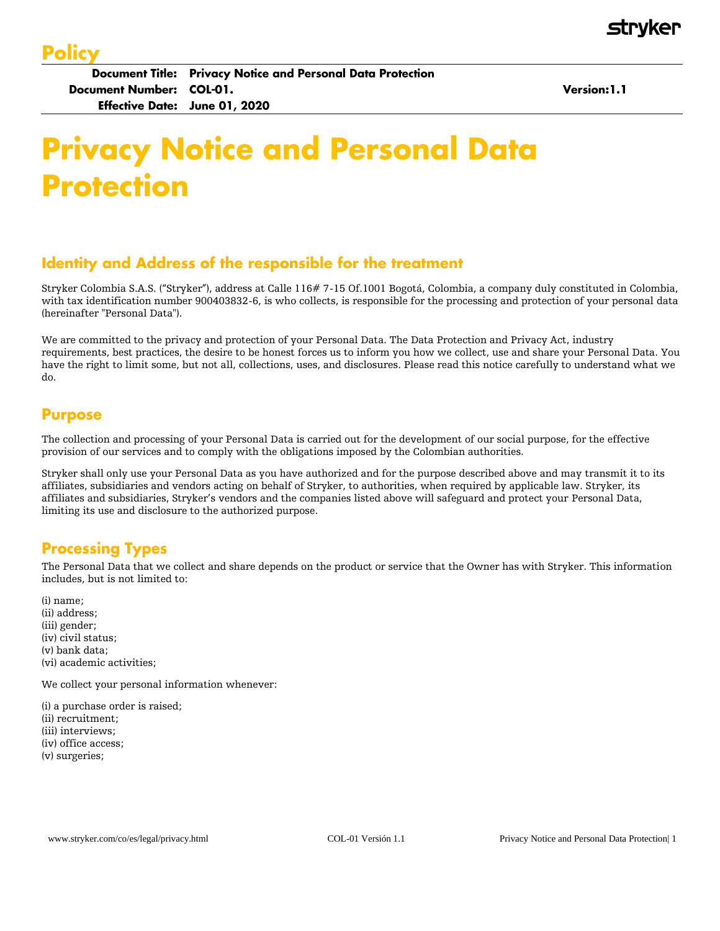Version: 1.1

# **Privacy Notice and Personal Data Protection**

## Identity and Address of the responsible for the treatment

Stryker Colombia S.A.S. ("Stryker"), address at Calle 116# 7-15 Of.1001 Bogotá, Colombia, a company duly constituted in Colombia, with tax identification number 900403832-6, is who collects, is responsible for the processing and protection of your personal data (hereinafter "Personal Data").

We are committed to the privacy and protection of your Personal Data. The Data Protection and Privacy Act, industry requirements, best practices, the desire to be honest forces us to inform you how we collect, use and share your Personal Data. You have the right to limit some, but not all, collections, uses, and disclosures. Please read this notice carefully to understand what we do.

#### **Purpose**

The collection and processing of your Personal Data is carried out for the development of our social purpose, for the effective provision of our services and to comply with the obligations imposed by the Colombian authorities.

Stryker shall only use your Personal Data as you have authorized and for the purpose described above and may transmit it to its affiliates, subsidiaries and vendors acting on behalf of Stryker, to authorities, when required by applicable law. Stryker, its affiliates and subsidiaries, Stryker's vendors and the companies listed above will safeguard and protect your Personal Data, limiting its use and disclosure to the authorized purpose.

### **Processing Types**

The Personal Data that we collect and share depends on the product or service that the Owner has with Stryker. This information includes, but is not limited to:

(i) name; (ii) address; (iii) gender; (iv) civil status; (v) bank data; (vi) academic activities;

We collect your personal information whenever:

(i) a purchase order is raised; (ii) recruitment; (iii) interviews; (iv) office access; (v) surgeries;